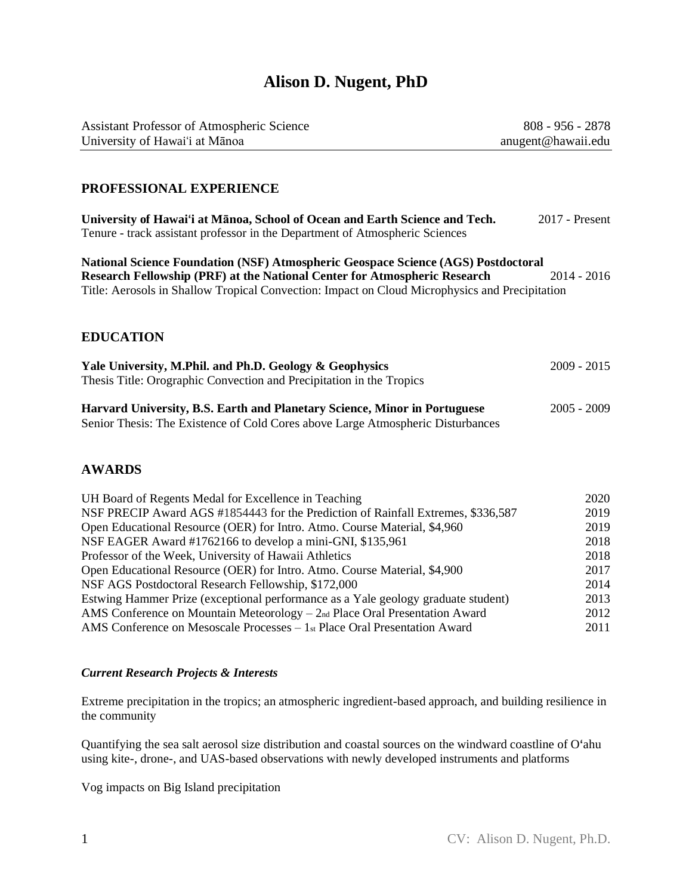# **Alison D. Nugent, PhD**

| <b>Assistant Professor of Atmospheric Science</b> | $808 - 956 - 2878$ |
|---------------------------------------------------|--------------------|
| University of Hawai'i at Mānoa                    | anugent@hawaii.edu |

#### **PROFESSIONAL EXPERIENCE**

| University of Hawai'i at Mānoa, School of Ocean and Earth Science and Tech.  | $2017$ - Present |
|------------------------------------------------------------------------------|------------------|
| Tenure - track assistant professor in the Department of Atmospheric Sciences |                  |

**National Science Foundation (NSF) Atmospheric Geospace Science (AGS) Postdoctoral Research Fellowship (PRF) at the National Center for Atmospheric Research** 2014 - 2016 Title: Aerosols in Shallow Tropical Convection: Impact on Cloud Microphysics and Precipitation

#### **EDUCATION**

| Yale University, M.Phil. and Ph.D. Geology & Geophysics                          | $2009 - 2015$ |
|----------------------------------------------------------------------------------|---------------|
| Thesis Title: Orographic Convection and Precipitation in the Tropics             |               |
|                                                                                  |               |
| <b>Harvard University, B.S. Earth and Planetary Science, Minor in Portuguese</b> | $2005 - 2009$ |
| Senior Thesis: The Existence of Cold Cores above Large Atmospheric Disturbances  |               |

#### **AWARDS**

| UH Board of Regents Medal for Excellence in Teaching                              | 2020 |
|-----------------------------------------------------------------------------------|------|
| NSF PRECIP Award AGS #1854443 for the Prediction of Rainfall Extremes, \$336,587  | 2019 |
| Open Educational Resource (OER) for Intro. Atmo. Course Material, \$4,960         | 2019 |
| NSF EAGER Award #1762166 to develop a mini-GNI, \$135,961                         | 2018 |
| Professor of the Week, University of Hawaii Athletics                             | 2018 |
| Open Educational Resource (OER) for Intro. Atmo. Course Material, \$4,900         | 2017 |
| NSF AGS Postdoctoral Research Fellowship, \$172,000                               | 2014 |
| Estwing Hammer Prize (exceptional performance as a Yale geology graduate student) | 2013 |
| AMS Conference on Mountain Meteorology – 2nd Place Oral Presentation Award        | 2012 |
| AMS Conference on Mesoscale Processes - 1st Place Oral Presentation Award         | 2011 |

#### *Current Research Projects & Interests*

Extreme precipitation in the tropics; an atmospheric ingredient-based approach, and building resilience in the community

Quantifying the sea salt aerosol size distribution and coastal sources on the windward coastline of O**ʻ**ahu using kite-, drone-, and UAS-based observations with newly developed instruments and platforms

Vog impacts on Big Island precipitation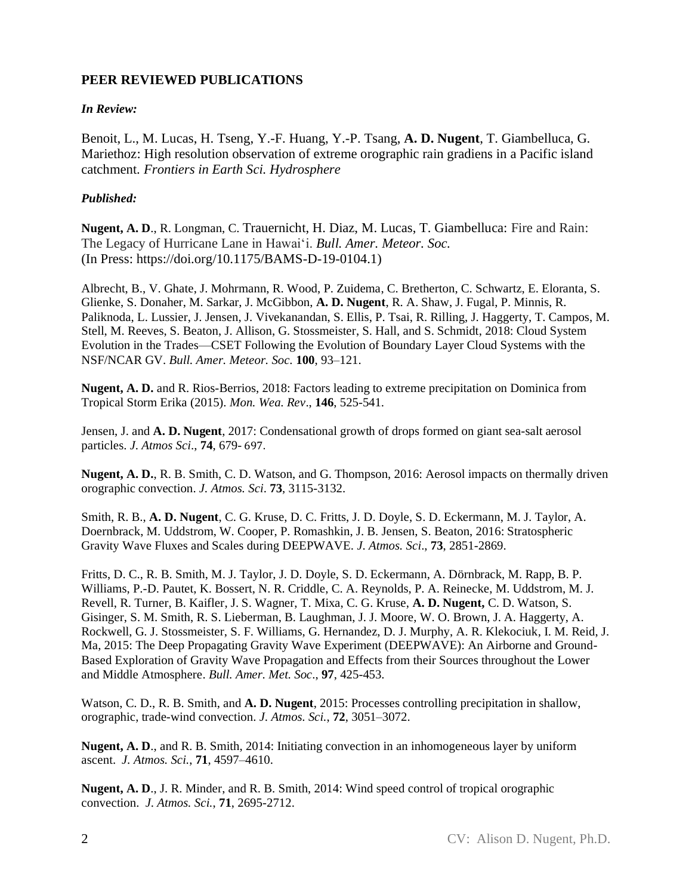# **PEER REVIEWED PUBLICATIONS**

### *In Review:*

Benoit, L., M. Lucas, H. Tseng, Y.-F. Huang, Y.-P. Tsang, **A. D. Nugent**, T. Giambelluca, G. Mariethoz: High resolution observation of extreme orographic rain gradiens in a Pacific island catchment. *Frontiers in Earth Sci. Hydrosphere*

### *Published:*

**Nugent, A. D**., R. Longman, C. Trauernicht, H. Diaz, M. Lucas, T. Giambelluca: Fire and Rain: The Legacy of Hurricane Lane in Hawaiʻi. *Bull. Amer. Meteor. Soc.*  (In Press: https://doi.org/10.1175/BAMS-D-19-0104.1)

Albrecht, B., V. Ghate, J. Mohrmann, R. Wood, P. Zuidema, C. Bretherton, C. Schwartz, E. Eloranta, S. Glienke, S. Donaher, M. Sarkar, J. McGibbon, **A. D. Nugent**, R. A. Shaw, J. Fugal, P. Minnis, R. Paliknoda, L. Lussier, J. Jensen, J. Vivekanandan, S. Ellis, P. Tsai, R. Rilling, J. Haggerty, T. Campos, M. Stell, M. Reeves, S. Beaton, J. Allison, G. Stossmeister, S. Hall, and S. Schmidt, 2018: Cloud System Evolution in the Trades—CSET Following the Evolution of Boundary Layer Cloud Systems with the NSF/NCAR GV. *Bull. Amer. Meteor. Soc.* **100**, 93–121.

**Nugent, A. D.** and R. Rios-Berrios, 2018: Factors leading to extreme precipitation on Dominica from Tropical Storm Erika (2015). *Mon. Wea. Rev*., **146**, 525-541.

Jensen, J. and **A. D. Nugent**, 2017: Condensational growth of drops formed on giant sea-salt aerosol particles. *J. Atmos Sci*., **74**, 679- 697.

**Nugent, A. D.**, R. B. Smith, C. D. Watson, and G. Thompson, 2016: Aerosol impacts on thermally driven orographic convection. *J. Atmos. Sci*. **73**, 3115-3132.

Smith, R. B., **A. D. Nugent**, C. G. Kruse, D. C. Fritts, J. D. Doyle, S. D. Eckermann, M. J. Taylor, A. Doernbrack, M. Uddstrom, W. Cooper, P. Romashkin, J. B. Jensen, S. Beaton, 2016: Stratospheric Gravity Wave Fluxes and Scales during DEEPWAVE. *J. Atmos. Sci*., **73**, 2851-2869.

Fritts, D. C., R. B. Smith, M. J. Taylor, J. D. Doyle, S. D. Eckermann, A. Dörnbrack, M. Rapp, B. P. Williams, P.-D. Pautet, K. Bossert, N. R. Criddle, C. A. Reynolds, P. A. Reinecke, M. Uddstrom, M. J. Revell, R. Turner, B. Kaifler, J. S. Wagner, T. Mixa, C. G. Kruse, **A. D. Nugent,** C. D. Watson, S. Gisinger, S. M. Smith, R. S. Lieberman, B. Laughman, J. J. Moore, W. O. Brown, J. A. Haggerty, A. Rockwell, G. J. Stossmeister, S. F. Williams, G. Hernandez, D. J. Murphy, A. R. Klekociuk, I. M. Reid, J. Ma, 2015: The Deep Propagating Gravity Wave Experiment (DEEPWAVE): An Airborne and Ground-Based Exploration of Gravity Wave Propagation and Effects from their Sources throughout the Lower and Middle Atmosphere. *Bull. Amer. Met. Soc*., **97**, 425-453.

Watson, C. D., R. B. Smith, and **A. D. Nugent**, 2015: Processes controlling precipitation in shallow, orographic, trade-wind convection. *J. Atmos. Sci.*, **72**, 3051–3072.

**Nugent, A. D**., and R. B. Smith, 2014: Initiating convection in an inhomogeneous layer by uniform ascent. *J. Atmos. Sci.*, **71**, 4597–4610.

**Nugent, A. D**., J. R. Minder, and R. B. Smith, 2014: Wind speed control of tropical orographic convection. *J. Atmos. Sci.*, **71**, 2695-2712.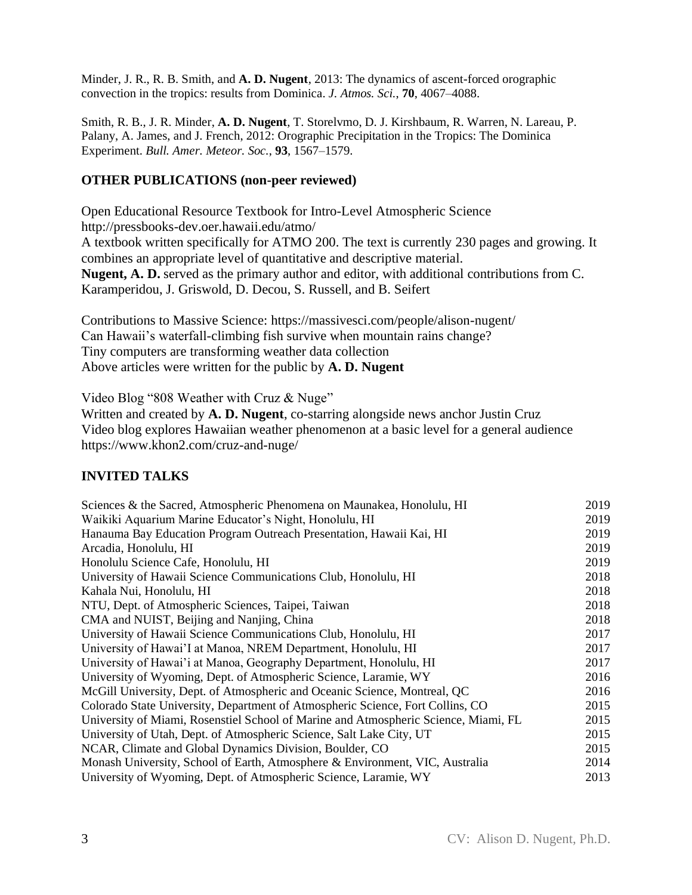Minder, J. R., R. B. Smith, and **A. D. Nugent**, 2013: The dynamics of ascent-forced orographic convection in the tropics: results from Dominica. *J. Atmos. Sci.*, **70**, 4067–4088.

Smith, R. B., J. R. Minder, **A. D. Nugent**, T. Storelvmo, D. J. Kirshbaum, R. Warren, N. Lareau, P. Palany, A. James, and J. French, 2012: Orographic Precipitation in the Tropics: The Dominica Experiment. *Bull. Amer. Meteor. Soc.*, **93**, 1567–1579.

# **OTHER PUBLICATIONS (non-peer reviewed)**

Open Educational Resource Textbook for Intro-Level Atmospheric Science http://pressbooks-dev.oer.hawaii.edu/atmo/ A textbook written specifically for ATMO 200. The text is currently 230 pages and growing. It combines an appropriate level of quantitative and descriptive material. **Nugent, A. D.** served as the primary author and editor, with additional contributions from C. Karamperidou, J. Griswold, D. Decou, S. Russell, and B. Seifert

Contributions to Massive Science: https://massivesci.com/people/alison-nugent/ Can Hawaii's waterfall-climbing fish survive when mountain rains change? Tiny computers are transforming weather data collection Above articles were written for the public by **A. D. Nugent**

Video Blog "808 Weather with Cruz & Nuge"

Written and created by **A. D. Nugent**, co-starring alongside news anchor Justin Cruz Video blog explores Hawaiian weather phenomenon at a basic level for a general audience https://www.khon2.com/cruz-and-nuge/

# **INVITED TALKS**

| Sciences & the Sacred, Atmospheric Phenomena on Maunakea, Honolulu, HI              | 2019 |
|-------------------------------------------------------------------------------------|------|
| Waikiki Aquarium Marine Educator's Night, Honolulu, HI                              | 2019 |
| Hanauma Bay Education Program Outreach Presentation, Hawaii Kai, HI                 | 2019 |
| Arcadia, Honolulu, HI                                                               | 2019 |
| Honolulu Science Cafe, Honolulu, HI                                                 | 2019 |
| University of Hawaii Science Communications Club, Honolulu, HI                      | 2018 |
| Kahala Nui, Honolulu, HI                                                            | 2018 |
| NTU, Dept. of Atmospheric Sciences, Taipei, Taiwan                                  | 2018 |
| CMA and NUIST, Beijing and Nanjing, China                                           | 2018 |
| University of Hawaii Science Communications Club, Honolulu, HI                      | 2017 |
| University of Hawai'I at Manoa, NREM Department, Honolulu, HI                       | 2017 |
| University of Hawai'i at Manoa, Geography Department, Honolulu, HI                  | 2017 |
| University of Wyoming, Dept. of Atmospheric Science, Laramie, WY                    | 2016 |
| McGill University, Dept. of Atmospheric and Oceanic Science, Montreal, QC           | 2016 |
| Colorado State University, Department of Atmospheric Science, Fort Collins, CO      | 2015 |
| University of Miami, Rosenstiel School of Marine and Atmospheric Science, Miami, FL | 2015 |
| University of Utah, Dept. of Atmospheric Science, Salt Lake City, UT                | 2015 |
| NCAR, Climate and Global Dynamics Division, Boulder, CO                             | 2015 |
| Monash University, School of Earth, Atmosphere & Environment, VIC, Australia        | 2014 |
| University of Wyoming, Dept. of Atmospheric Science, Laramie, WY                    | 2013 |
|                                                                                     |      |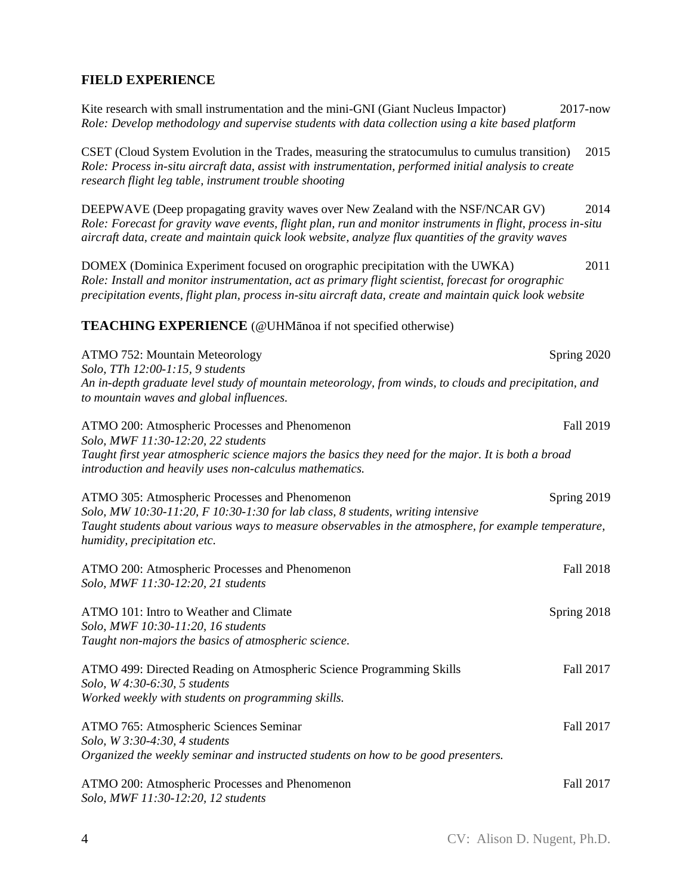# **FIELD EXPERIENCE**

| Kite research with small instrumentation and the mini-GNI (Giant Nucleus Impactor)<br>Role: Develop methodology and supervise students with data collection using a kite based platform                                                                                                               | $2017 - now$     |
|-------------------------------------------------------------------------------------------------------------------------------------------------------------------------------------------------------------------------------------------------------------------------------------------------------|------------------|
| CSET (Cloud System Evolution in the Trades, measuring the stratocumulus to cumulus transition)<br>Role: Process in-situ aircraft data, assist with instrumentation, performed initial analysis to create<br>research flight leg table, instrument trouble shooting                                    | 2015             |
| DEEPWAVE (Deep propagating gravity waves over New Zealand with the NSF/NCAR GV)<br>Role: Forecast for gravity wave events, flight plan, run and monitor instruments in flight, process in-situ<br>aircraft data, create and maintain quick look website, analyze flux quantities of the gravity waves | 2014             |
| DOMEX (Dominica Experiment focused on orographic precipitation with the UWKA)<br>Role: Install and monitor instrumentation, act as primary flight scientist, forecast for orographic<br>precipitation events, flight plan, process in-situ aircraft data, create and maintain quick look website      | 2011             |
| <b>TEACHING EXPERIENCE</b> (@UHManoa if not specified otherwise)                                                                                                                                                                                                                                      |                  |
| ATMO 752: Mountain Meteorology<br>Solo, TTh 12:00-1:15, 9 students<br>An in-depth graduate level study of mountain meteorology, from winds, to clouds and precipitation, and<br>to mountain waves and global influences.                                                                              | Spring 2020      |
| ATMO 200: Atmospheric Processes and Phenomenon<br>Solo, MWF 11:30-12:20, 22 students<br>Taught first year atmospheric science majors the basics they need for the major. It is both a broad<br>introduction and heavily uses non-calculus mathematics.                                                | Fall 2019        |
| ATMO 305: Atmospheric Processes and Phenomenon<br>Solo, MW 10:30-11:20, F 10:30-1:30 for lab class, 8 students, writing intensive<br>Taught students about various ways to measure observables in the atmosphere, for example temperature,<br>humidity, precipitation etc.                            | Spring 2019      |
| ATMO 200: Atmospheric Processes and Phenomenon<br>Solo, MWF 11:30-12:20, 21 students                                                                                                                                                                                                                  | <b>Fall 2018</b> |
| ATMO 101: Intro to Weather and Climate<br>Solo, MWF 10:30-11:20, 16 students<br>Taught non-majors the basics of atmospheric science.                                                                                                                                                                  | Spring 2018      |
| ATMO 499: Directed Reading on Atmospheric Science Programming Skills<br>Solo, W 4:30-6:30, 5 students<br>Worked weekly with students on programming skills.                                                                                                                                           | Fall 2017        |
| ATMO 765: Atmospheric Sciences Seminar<br>Solo, W 3:30-4:30, 4 students<br>Organized the weekly seminar and instructed students on how to be good presenters.                                                                                                                                         | Fall 2017        |
| ATMO 200: Atmospheric Processes and Phenomenon<br>Solo, MWF 11:30-12:20, 12 students                                                                                                                                                                                                                  | Fall 2017        |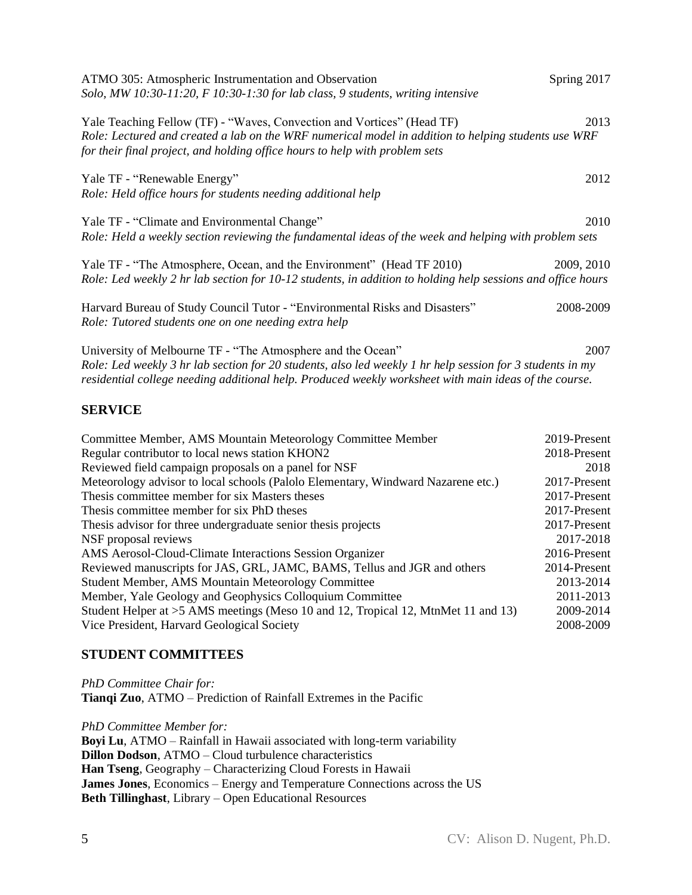| ATMO 305: Atmospheric Instrumentation and Observation<br>Solo, MW 10:30-11:20, F 10:30-1:30 for lab class, 9 students, writing intensive                                                                                                                                          | Spring 2017     |
|-----------------------------------------------------------------------------------------------------------------------------------------------------------------------------------------------------------------------------------------------------------------------------------|-----------------|
| Yale Teaching Fellow (TF) - "Waves, Convection and Vortices" (Head TF)<br>Role: Lectured and created a lab on the WRF numerical model in addition to helping students use WRF<br>for their final project, and holding office hours to help with problem sets                      | 2013            |
| Yale TF - "Renewable Energy"<br>Role: Held office hours for students needing additional help                                                                                                                                                                                      | 2012            |
| Yale TF - "Climate and Environmental Change"<br>Role: Held a weekly section reviewing the fundamental ideas of the week and helping with problem sets                                                                                                                             | 2010            |
| Yale TF - "The Atmosphere, Ocean, and the Environment" (Head TF 2010)<br>Role: Led weekly 2 hr lab section for 10-12 students, in addition to holding help sessions and office hours                                                                                              | 2009, 2010      |
| Harvard Bureau of Study Council Tutor - "Environmental Risks and Disasters"<br>Role: Tutored students one on one needing extra help                                                                                                                                               | 2008-2009       |
| University of Melbourne TF - "The Atmosphere and the Ocean"<br>Role: Led weekly 3 hr lab section for 20 students, also led weekly 1 hr help session for 3 students in my<br>residential college needing additional help. Produced weekly worksheet with main ideas of the course. | 2007            |
| <b>SERVICE</b>                                                                                                                                                                                                                                                                    |                 |
| Committee Member, AMS Mountain Meteorology Committee Member                                                                                                                                                                                                                       | 2019-Present    |
| Regular contributor to local news station KHON2                                                                                                                                                                                                                                   | 2018-Present    |
| Reviewed field campaign proposals on a panel for NSF                                                                                                                                                                                                                              | 2018            |
| Meteorology advisor to local schools (Palolo Elementary, Windward Nazarene etc.)                                                                                                                                                                                                  | 2017-Present    |
| Thesis committee member for six Masters theses                                                                                                                                                                                                                                    | 2017-Present    |
| Thesis committee member for six PhD theses                                                                                                                                                                                                                                        | 2017-Present    |
| Thesis advisor for three undergraduate senior thesis projects                                                                                                                                                                                                                     | 2017-Present    |
| NSF proposal reviews                                                                                                                                                                                                                                                              | 2017-2018       |
| AMS Aerosol-Cloud-Climate Interactions Session Organizer                                                                                                                                                                                                                          | $2016$ -Present |

AMS Aerosol-Cloud-Climate Interactions Session Organizer 2016-Present Reviewed manuscripts for JAS, GRL, JAMC, BAMS, Tellus and JGR and others 2014-Present Student Member, AMS Mountain Meteorology Committee 2013-2014 Member, Yale Geology and Geophysics Colloquium Committee 2011-2013 Student Helper at >5 AMS meetings (Meso 10 and 12, Tropical 12, MtnMet 11 and 13) 2009-2014 Vice President, Harvard Geological Society 2008-2009

### **STUDENT COMMITTEES**

*PhD Committee Chair for:* **Tianqi Zuo**, ATMO – Prediction of Rainfall Extremes in the Pacific

*PhD Committee Member for:* **Boyi Lu**, ATMO – Rainfall in Hawaii associated with long-term variability **Dillon Dodson**, ATMO – Cloud turbulence characteristics **Han Tseng**, Geography – Characterizing Cloud Forests in Hawaii **James Jones**, Economics – Energy and Temperature Connections across the US **Beth Tillinghast**, Library – Open Educational Resources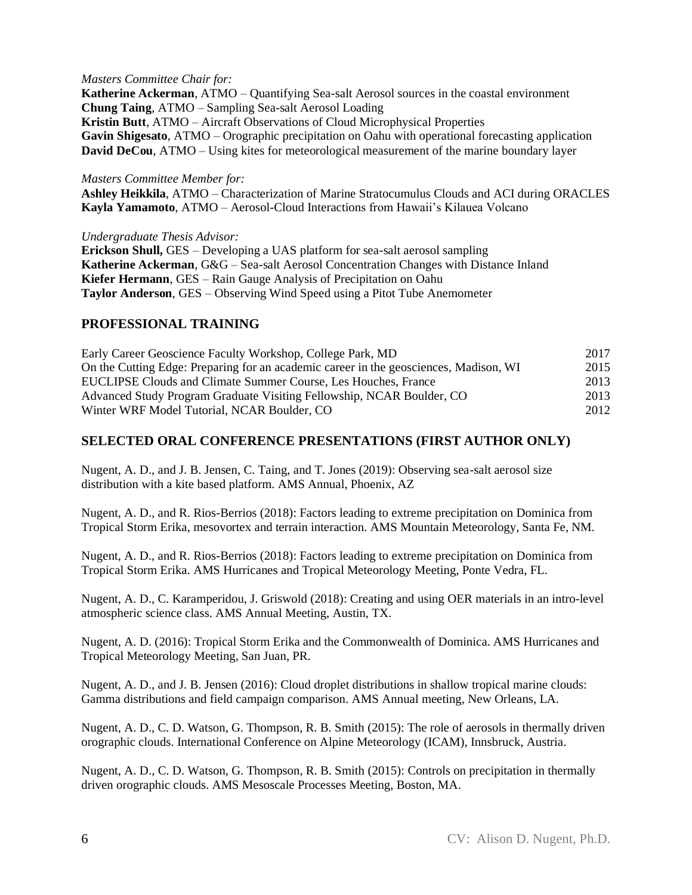#### *Masters Committee Chair for:*

**Katherine Ackerman**, ATMO – Quantifying Sea-salt Aerosol sources in the coastal environment **Chung Taing**, ATMO – Sampling Sea-salt Aerosol Loading **Kristin Butt**, ATMO – Aircraft Observations of Cloud Microphysical Properties **Gavin Shigesato**, ATMO – Orographic precipitation on Oahu with operational forecasting application **David DeCou**, ATMO – Using kites for meteorological measurement of the marine boundary layer

#### *Masters Committee Member for:*

**Ashley Heikkila**, ATMO – Characterization of Marine Stratocumulus Clouds and ACI during ORACLES **Kayla Yamamoto**, ATMO – Aerosol-Cloud Interactions from Hawaii's Kilauea Volcano

*Undergraduate Thesis Advisor:*

**Erickson Shull,** GES – Developing a UAS platform for sea-salt aerosol sampling **Katherine Ackerman**, G&G – Sea-salt Aerosol Concentration Changes with Distance Inland **Kiefer Hermann**, GES – Rain Gauge Analysis of Precipitation on Oahu **Taylor Anderson**, GES – Observing Wind Speed using a Pitot Tube Anemometer

### **PROFESSIONAL TRAINING**

| Early Career Geoscience Faculty Workshop, College Park, MD                            | 2017 |
|---------------------------------------------------------------------------------------|------|
| On the Cutting Edge: Preparing for an academic career in the geosciences, Madison, WI | 2015 |
| EUCLIPSE Clouds and Climate Summer Course, Les Houches, France                        | 2013 |
| Advanced Study Program Graduate Visiting Fellowship, NCAR Boulder, CO                 | 2013 |
| Winter WRF Model Tutorial, NCAR Boulder, CO                                           | 2012 |

### **SELECTED ORAL CONFERENCE PRESENTATIONS (FIRST AUTHOR ONLY)**

Nugent, A. D., and J. B. Jensen, C. Taing, and T. Jones (2019): Observing sea-salt aerosol size distribution with a kite based platform. AMS Annual, Phoenix, AZ

Nugent, A. D., and R. Rios-Berrios (2018): Factors leading to extreme precipitation on Dominica from Tropical Storm Erika, mesovortex and terrain interaction. AMS Mountain Meteorology, Santa Fe, NM.

Nugent, A. D., and R. Rios-Berrios (2018): Factors leading to extreme precipitation on Dominica from Tropical Storm Erika. AMS Hurricanes and Tropical Meteorology Meeting, Ponte Vedra, FL.

Nugent, A. D., C. Karamperidou, J. Griswold (2018): Creating and using OER materials in an intro-level atmospheric science class. AMS Annual Meeting, Austin, TX.

Nugent, A. D. (2016): Tropical Storm Erika and the Commonwealth of Dominica. AMS Hurricanes and Tropical Meteorology Meeting, San Juan, PR.

Nugent, A. D., and J. B. Jensen (2016): Cloud droplet distributions in shallow tropical marine clouds: Gamma distributions and field campaign comparison. AMS Annual meeting, New Orleans, LA.

Nugent, A. D., C. D. Watson, G. Thompson, R. B. Smith (2015): The role of aerosols in thermally driven orographic clouds. International Conference on Alpine Meteorology (ICAM), Innsbruck, Austria.

Nugent, A. D., C. D. Watson, G. Thompson, R. B. Smith (2015): Controls on precipitation in thermally driven orographic clouds. AMS Mesoscale Processes Meeting, Boston, MA.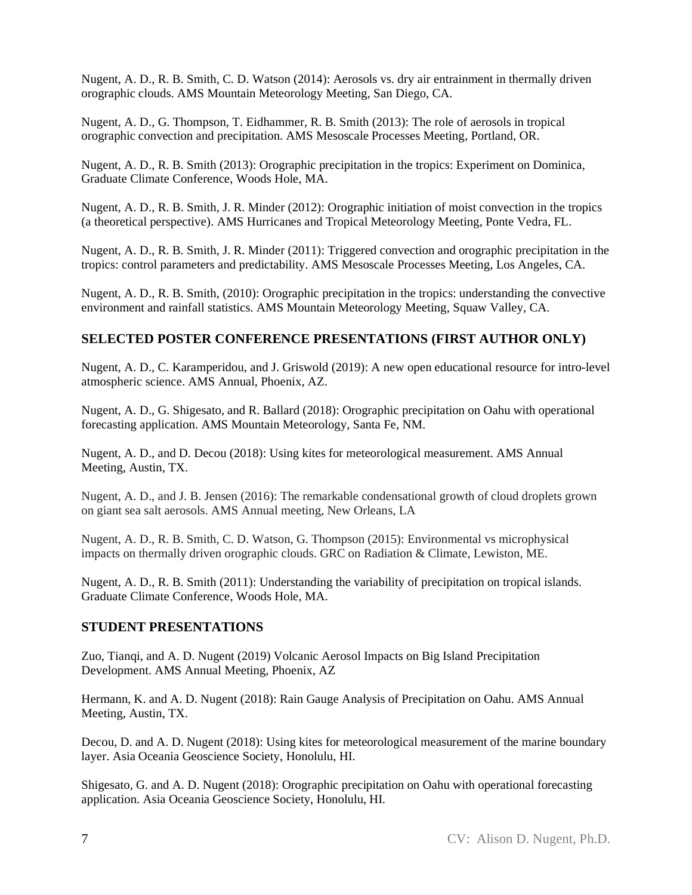Nugent, A. D., R. B. Smith, C. D. Watson (2014): Aerosols vs. dry air entrainment in thermally driven orographic clouds. AMS Mountain Meteorology Meeting, San Diego, CA.

Nugent, A. D., G. Thompson, T. Eidhammer, R. B. Smith (2013): The role of aerosols in tropical orographic convection and precipitation. AMS Mesoscale Processes Meeting, Portland, OR.

Nugent, A. D., R. B. Smith (2013): Orographic precipitation in the tropics: Experiment on Dominica, Graduate Climate Conference, Woods Hole, MA.

Nugent, A. D., R. B. Smith, J. R. Minder (2012): Orographic initiation of moist convection in the tropics (a theoretical perspective). AMS Hurricanes and Tropical Meteorology Meeting, Ponte Vedra, FL.

Nugent, A. D., R. B. Smith, J. R. Minder (2011): Triggered convection and orographic precipitation in the tropics: control parameters and predictability. AMS Mesoscale Processes Meeting, Los Angeles, CA.

Nugent, A. D., R. B. Smith, (2010): Orographic precipitation in the tropics: understanding the convective environment and rainfall statistics. AMS Mountain Meteorology Meeting, Squaw Valley, CA.

# **SELECTED POSTER CONFERENCE PRESENTATIONS (FIRST AUTHOR ONLY)**

Nugent, A. D., C. Karamperidou, and J. Griswold (2019): A new open educational resource for intro-level atmospheric science. AMS Annual, Phoenix, AZ.

Nugent, A. D., G. Shigesato, and R. Ballard (2018): Orographic precipitation on Oahu with operational forecasting application. AMS Mountain Meteorology, Santa Fe, NM.

Nugent, A. D., and D. Decou (2018): Using kites for meteorological measurement. AMS Annual Meeting, Austin, TX.

Nugent, A. D., and J. B. Jensen (2016): The remarkable condensational growth of cloud droplets grown on giant sea salt aerosols. AMS Annual meeting, New Orleans, LA

Nugent, A. D., R. B. Smith, C. D. Watson, G. Thompson (2015): Environmental vs microphysical impacts on thermally driven orographic clouds. GRC on Radiation & Climate, Lewiston, ME.

Nugent, A. D., R. B. Smith (2011): Understanding the variability of precipitation on tropical islands. Graduate Climate Conference, Woods Hole, MA.

### **STUDENT PRESENTATIONS**

Zuo, Tianqi, and A. D. Nugent (2019) Volcanic Aerosol Impacts on Big Island Precipitation Development. AMS Annual Meeting, Phoenix, AZ

Hermann, K. and A. D. Nugent (2018): Rain Gauge Analysis of Precipitation on Oahu. AMS Annual Meeting, Austin, TX.

Decou, D. and A. D. Nugent (2018): Using kites for meteorological measurement of the marine boundary layer. Asia Oceania Geoscience Society, Honolulu, HI.

Shigesato, G. and A. D. Nugent (2018): Orographic precipitation on Oahu with operational forecasting application. Asia Oceania Geoscience Society, Honolulu, HI.